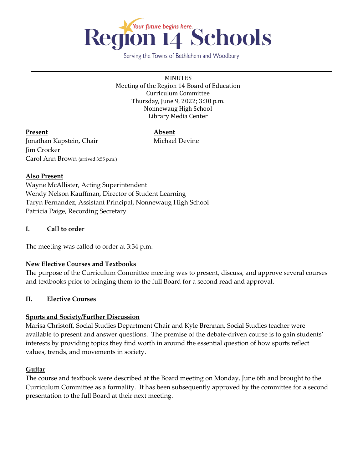

Serving the Towns of Bethlehem and Woodbury

MINUTES Meeting of the Region 14 Board of Education Curriculum Committee Thursday, June 9, 2022; 3:30 p.m. Nonnewaug High School Library Media Center

# **Present Absent**

Jonathan Kapstein, Chair Michael Devine Jim Crocker Carol Ann Brown (arrived 3:55 p.m.)

## **Also Present**

Wayne McAllister, Acting Superintendent Wendy Nelson Kauffman, Director of Student Learning Taryn Fernandez, Assistant Principal, Nonnewaug High School Patricia Paige, Recording Secretary

## **I. Call to order**

The meeting was called to order at 3:34 p.m.

# **New Elective Courses and Textbooks**

The purpose of the Curriculum Committee meeting was to present, discuss, and approve several courses and textbooks prior to bringing them to the full Board for a second read and approval.

#### **II. Elective Courses**

# **Sports and Society/Further Discussion**

Marisa Christoff, Social Studies Department Chair and Kyle Brennan, Social Studies teacher were available to present and answer questions. The premise of the debate-driven course is to gain students' interests by providing topics they find worth in around the essential question of how sports reflect values, trends, and movements in society.

# **Guitar**

The course and textbook were described at the Board meeting on Monday, June 6th and brought to the Curriculum Committee as a formality. It has been subsequently approved by the committee for a second presentation to the full Board at their next meeting.